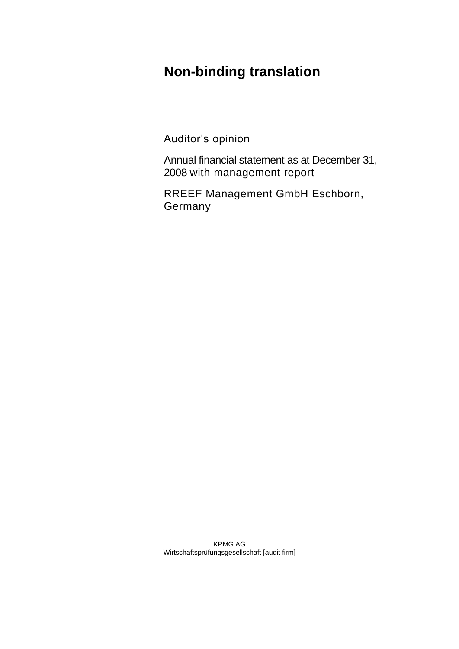# **Non-binding translation**

Auditor's opinion

Annual financial statement as at December 31, 2008 with management report

RREEF Management GmbH Eschborn, **Germany** 

KPMG AG Wirtschaftsprüfungsgesellschaft [audit firm]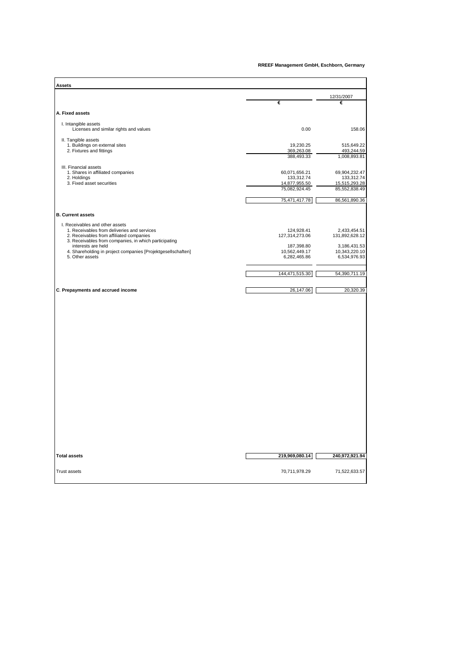#### **RREEF Management GmbH, Eschborn, Germany**

| Assets                                                                             |                             |                               |
|------------------------------------------------------------------------------------|-----------------------------|-------------------------------|
|                                                                                    |                             | 12/31/2007                    |
|                                                                                    | €                           | €                             |
| A. Fixed assets                                                                    |                             |                               |
|                                                                                    |                             |                               |
| I. Intangible assets<br>Licenses and similar rights and values                     | 0.00                        | 158.06                        |
| II. Tangible assets                                                                |                             |                               |
| 1. Buildings on external sites<br>2. Fixtures and fittings                         | 19,230.25<br>369,263.08     | 515,649.22<br>493,244.59      |
|                                                                                    | 388,493.33                  | 1,008,893.81                  |
| III. Financial assets                                                              |                             |                               |
| 1. Shares in affiliated companies                                                  | 60,071,656.21               | 69,904,232.47                 |
| 2. Holdings<br>3. Fixed asset securities                                           | 133,312.74<br>14,877,955.50 | 133,312.74<br>15,515,293.28   |
|                                                                                    | 75,082,924.45               | 85,552,838.49                 |
|                                                                                    |                             |                               |
|                                                                                    | 75,471,417.78               | 86,561,890.36                 |
| <b>B. Current assets</b>                                                           |                             |                               |
|                                                                                    |                             |                               |
| I. Receivables and other assets<br>1. Receivables from deliveries and services     | 124,928.41                  | 2,433,454.51                  |
| 2. Receivables from affiliated companies                                           | 127,314,273.06              | 131,892,628.12                |
| 3. Receivables from companies, in which participating                              |                             |                               |
| interests are held<br>4. Shareholding in project companies [Projektgesellschaften] | 187,398.80<br>10,562,449.17 | 3,186,431.53<br>10,343,220.10 |
| 5. Other assets                                                                    | 6,282,465.86                | 6,534,976.93                  |
|                                                                                    |                             |                               |
|                                                                                    | 144,471,515.30              | 54,390,711.19                 |
|                                                                                    |                             |                               |
| C. Prepayments and accrued income                                                  | 26,147.06                   | 20,320.39                     |
|                                                                                    |                             |                               |
| <b>Total assets</b>                                                                | 219,969,080.14              | 240,972,921.94                |
| <b>Trust assets</b>                                                                | 70,711,978.29               | 71,522,633.57                 |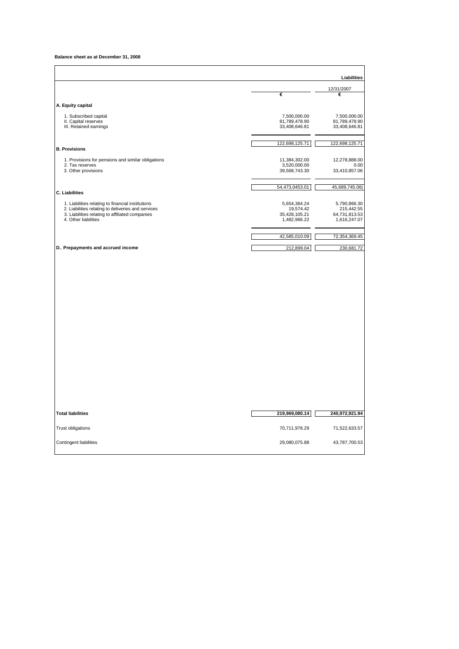**Balance sheet as at December 31, 2008**

|                                                                                                                                                                                    |                                                            | Liabilities                                                 |
|------------------------------------------------------------------------------------------------------------------------------------------------------------------------------------|------------------------------------------------------------|-------------------------------------------------------------|
|                                                                                                                                                                                    | €                                                          | 12/31/2007<br>€                                             |
| A. Equity capital                                                                                                                                                                  |                                                            |                                                             |
| 1. Subscribed capital<br>II. Capital reserves<br>III. Retained earnings                                                                                                            | 7,500,000.00<br>81,789,478.90<br>33,408,646.81             | 7,500,000.00<br>81,789,478.90<br>33,408,646.81              |
| <b>B. Provisions</b>                                                                                                                                                               | 122,698,125.71                                             | 122,698,125.71                                              |
| 1. Provisions for pensions and similar obligations<br>2. Tax reserves<br>3. Other provisions                                                                                       | 11,384,302.00<br>3,520,000.00<br>39,568,743.30             | 12,278,888.00<br>0.00<br>33,410,857.06                      |
| <b>C. Liabilities</b>                                                                                                                                                              | 54,473,0453.01                                             | 45,689,745.06                                               |
| 1. Liabilities relating to financial institutions<br>2. Liabilities relating to deliveries and services<br>3. Liabilities relating to affiliated companies<br>4. Other liabilities | 5,654,364.24<br>19,574.42<br>35,428,105.21<br>1,482,966.22 | 5,790,866.30<br>215,442.55<br>64,731,813.53<br>1,616,247.07 |
|                                                                                                                                                                                    | 42,585,010.09                                              | 72,354,369.45                                               |
| D. Prepayments and accrued income                                                                                                                                                  | 212,899.04                                                 | 230,681.72                                                  |
|                                                                                                                                                                                    |                                                            |                                                             |
| <b>Total liabilities</b>                                                                                                                                                           | 219,969,080.14                                             | 240,972,921.94                                              |
| Trust obligations                                                                                                                                                                  | 70,711,978.29                                              | 71,522,633.57                                               |
| Contingent liabilities                                                                                                                                                             | 29,080,075.88                                              | 43,787,700.53                                               |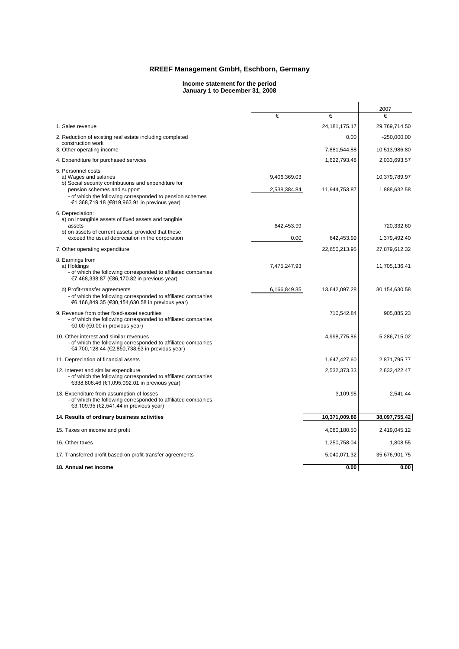### **RREEF Management GmbH, Eschborn, Germany**

#### **Income statement for the period January 1 to December 31, 2008**

|                                                                                                                                                            |              |                  | 2007             |
|------------------------------------------------------------------------------------------------------------------------------------------------------------|--------------|------------------|------------------|
|                                                                                                                                                            | €            | €                | €                |
| 1. Sales revenue                                                                                                                                           |              | 24, 181, 175. 17 | 29,769,714.50    |
| 2. Reduction of existing real estate including completed<br>construction work                                                                              |              | 0.00             | $-250,000.00$    |
| 3. Other operating income                                                                                                                                  |              | 7,881,544.88     | 10,513,986.80    |
| 4. Expenditure for purchased services                                                                                                                      |              | 1,622,793.48     | 2,033,693.57     |
| 5. Personnel costs<br>a) Wages and salaries<br>b) Social security contributions and expenditure for                                                        | 9,406,369.03 |                  | 10,379,789.97    |
| pension schemes and support<br>- of which the following corresponded to pension schemes<br>€1,368,719.18 (€819,963.91 in previous year)                    | 2,538,384.84 | 11,944,753.87    | 1,888,632.58     |
| 6. Depreciation:                                                                                                                                           |              |                  |                  |
| a) on intangible assets of fixed assets and tangible<br>assets                                                                                             | 642,453.99   |                  | 720,332.60       |
| b) on assets of current assets, provided that these<br>exceed the usual depreciation in the corporation                                                    | 0.00         | 642,453.99       | 1,379,492.40     |
| 7. Other operating expenditure                                                                                                                             |              | 22,650,213.95    | 27,879,612.32    |
| 8. Earnings from<br>a) Holdings<br>- of which the following corresponded to affiliated companies<br>€7,468,338.87 (€86,170.82 in previous year)            | 7,475,247.93 |                  | 11,705,136.41    |
| b) Profit-transfer agreements<br>- of which the following corresponded to affiliated companies<br>€6,166,849.35 (€30,154,630.58 in previous year)          | 6,166,849.35 | 13,642,097.28    | 30, 154, 630. 58 |
| 9. Revenue from other fixed-asset securities<br>- of which the following corresponded to affiliated companies<br>€0.00 (€0.00 in previous year)            |              | 710,542.84       | 905,885.23       |
| 10. Other interest and similar revenues<br>- of which the following corresponded to affiliated companies<br>€4,700,128.44 (€2,850,738.63 in previous year) |              | 4,998,775.86     | 5,286,715.02     |
| 11. Depreciation of financial assets                                                                                                                       |              | 1,647,427.60     | 2,871,795.77     |
| 12. Interest and similar expenditure<br>- of which the following corresponded to affiliated companies<br>€338,806.46 (€1,095,092.01 in previous year)      |              | 2,532,373.33     | 2,832,422.47     |
| 13. Expenditure from assumption of losses<br>- of which the following corresponded to affiliated companies<br>€3,109.95 (€2,541.44 in previous year)       |              | 3,109.95         | 2.541.44         |
| 14. Results of ordinary business activities                                                                                                                |              | 10,371,009.86    | 38,097,755.42    |
| 15. Taxes on income and profit                                                                                                                             |              | 4,080,180.50     | 2,419,045.12     |
| 16. Other taxes                                                                                                                                            |              | 1,250,758.04     | 1,808.55         |
| 17. Transferred profit based on profit-transfer agreements                                                                                                 |              | 5,040,071.32     | 35,676,901.75    |
| 18. Annual net income                                                                                                                                      |              | 0.00             | 0.00             |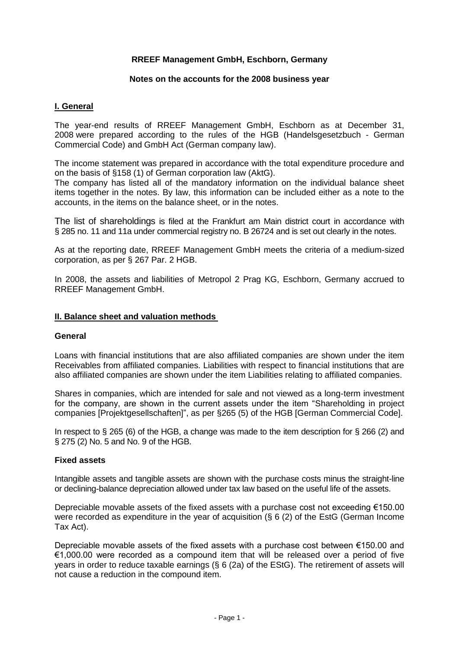# **RREEF Management GmbH, Eschborn, Germany**

### **Notes on the accounts for the 2008 business year**

# **I. General**

The year-end results of RREEF Management GmbH, Eschborn as at December 31, 2008 were prepared according to the rules of the HGB (Handelsgesetzbuch - German Commercial Code) and GmbH Act (German company law).

The income statement was prepared in accordance with the total expenditure procedure and on the basis of §158 (1) of German corporation law (AktG).

The company has listed all of the mandatory information on the individual balance sheet items together in the notes. By law, this information can be included either as a note to the accounts, in the items on the balance sheet, or in the notes.

The list of shareholdings is filed at the Frankfurt am Main district court in accordance with § 285 no. 11 and 11a under commercial registry no. B 26724 and is set out clearly in the notes.

As at the reporting date, RREEF Management GmbH meets the criteria of a medium-sized corporation, as per § 267 Par. 2 HGB.

In 2008, the assets and liabilities of Metropol 2 Prag KG, Eschborn, Germany accrued to RREEF Management GmbH.

#### **II. Balance sheet and valuation methods**

#### **General**

Loans with financial institutions that are also affiliated companies are shown under the item Receivables from affiliated companies. Liabilities with respect to financial institutions that are also affiliated companies are shown under the item Liabilities relating to affiliated companies.

Shares in companies, which are intended for sale and not viewed as a long-term investment for the company, are shown in the current assets under the item "Shareholding in project companies [Projektgesellschaften]", as per §265 (5) of the HGB [German Commercial Code].

In respect to § 265 (6) of the HGB, a change was made to the item description for § 266 (2) and § 275 (2) No. 5 and No. 9 of the HGB.

#### **Fixed assets**

Intangible assets and tangible assets are shown with the purchase costs minus the straight-line or declining-balance depreciation allowed under tax law based on the useful life of the assets.

Depreciable movable assets of the fixed assets with a purchase cost not exceeding €150.00 were recorded as expenditure in the year of acquisition (§ 6 (2) of the EstG (German Income Tax Act).

Depreciable movable assets of the fixed assets with a purchase cost between €150.00 and €1,000.00 were recorded as a compound item that will be released over a period of five years in order to reduce taxable earnings (§ 6 (2a) of the EStG). The retirement of assets will not cause a reduction in the compound item.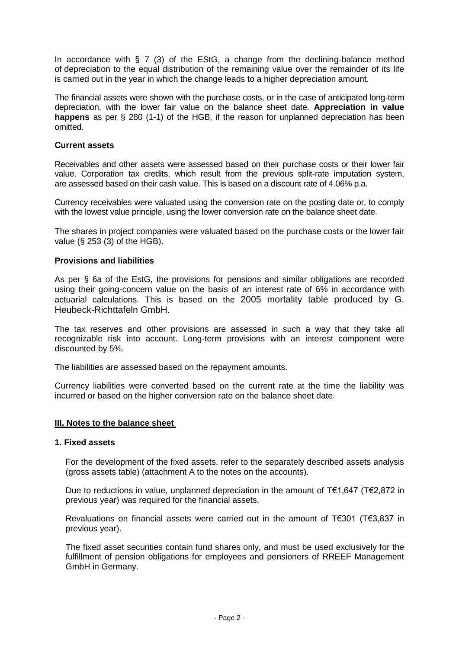In accordance with  $\S$  7 (3) of the EStG, a change from the declining-balance method of depreciation to the equal distribution of the remaining value over the remainder of its life is carried out in the year in which the change leads to a higher depreciation amount.

The financial assets were shown with the purchase costs, or in the case of anticipated long-term depreciation, with the lower fair value on the balance sheet date. **Appreciation in value happens** as per § 280 (1-1) of the HGB, if the reason for unplanned depreciation has been omitted.

# **Current assets**

Receivables and other assets were assessed based on their purchase costs or their lower fair value. Corporation tax credits, which result from the previous split-rate imputation system, are assessed based on their cash value. This is based on a discount rate of 4.06% p.a.

Currency receivables were valuated using the conversion rate on the posting date or, to comply with the lowest value principle, using the lower conversion rate on the balance sheet date.

The shares in project companies were valuated based on the purchase costs or the lower fair value (§ 253 (3) of the HGB).

# **Provisions and liabilities**

As per § 6a of the EstG, the provisions for pensions and similar obligations are recorded using their going-concern value on the basis of an interest rate of 6% in accordance with actuarial calculations. This is based on the 2005 mortality table produced by G. Heubeck-Richttafeln GmbH.

The tax reserves and other provisions are assessed in such a way that they take all recognizable risk into account. Long-term provisions with an interest component were discounted by 5%.

The liabilities are assessed based on the repayment amounts.

Currency liabilities were converted based on the current rate at the time the liability was incurred or based on the higher conversion rate on the balance sheet date.

#### **III. Notes to the balance sheet**

# **1. Fixed assets**

For the development of the fixed assets, refer to the separately described assets analysis (gross assets table) (attachment A to the notes on the accounts).

Due to reductions in value, unplanned depreciation in the amount of  $T€1,647$  (T€2,872 in previous year) was required for the financial assets.

Revaluations on financial assets were carried out in the amount of T€301 (T€3,837 in previous year).

The fixed asset securities contain fund shares only, and must be used exclusively for the fulfillment of pension obligations for employees and pensioners of RREEF Management GmbH in Germany.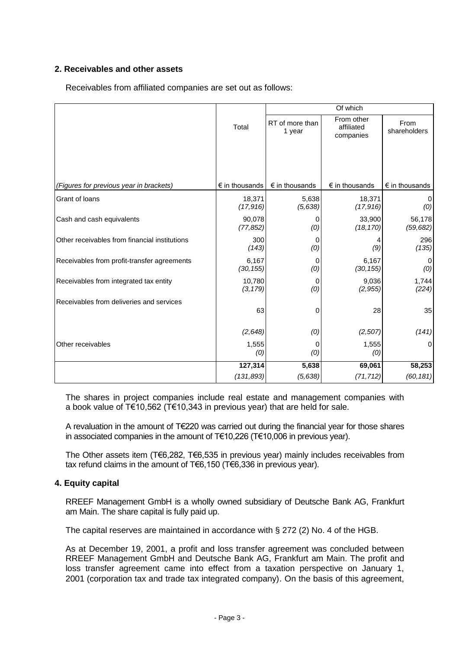# **2. Receivables and other assets**

Receivables from affiliated companies are set out as follows:

|                                               |                         | Of which                  |                                       |                         |  |
|-----------------------------------------------|-------------------------|---------------------------|---------------------------------------|-------------------------|--|
|                                               | Total                   | RT of more than<br>1 year | From other<br>affiliated<br>companies | From<br>shareholders    |  |
|                                               |                         |                           |                                       |                         |  |
| (Figures for previous year in brackets)       | $\epsilon$ in thousands | $\epsilon$ in thousands   | $\epsilon$ in thousands               | $\epsilon$ in thousands |  |
| Grant of loans                                | 18,371<br>(17, 916)     | 5,638<br>(5,638)          | 18,371<br>(17, 916)                   | (0)                     |  |
| Cash and cash equivalents                     | 90,078<br>(77, 852)     | 0<br>(0)                  | 33,900<br>(18, 170)                   | 56,178<br>(59, 682)     |  |
| Other receivables from financial institutions | 300<br>(143)            | 0<br>(0)                  | (9)                                   | 296<br>(135)            |  |
| Receivables from profit-transfer agreements   | 6,167<br>(30, 155)      | 0<br>(0)                  | 6,167<br>(30, 155)                    | 0<br>(0)                |  |
| Receivables from integrated tax entity        | 10,780<br>(3, 179)      | 0<br>(0)                  | 9,036<br>(2, 955)                     | 1,744<br>(224)          |  |
| Receivables from deliveries and services      | 63                      | 0                         | 28                                    | 35                      |  |
|                                               | (2,648)                 | (0)                       | (2,507)                               | (141)                   |  |
| Other receivables                             | 1,555<br>(0)            | O<br>(0)                  | 1,555<br>(0)                          | 0                       |  |
|                                               | 127,314                 | 5,638                     | 69,061                                | 58,253                  |  |
|                                               | (131, 893)              | (5,638)                   | (71, 712)                             | (60, 181)               |  |

The shares in project companies include real estate and management companies with a book value of T€10,562 (T€10,343 in previous year) that are held for sale.

A revaluation in the amount of T€220 was carried out during the financial year for those shares in associated companies in the amount of T€10,226 (T€10,006 in previous year).

The Other assets item (T€6,282, T€6,535 in previous year) mainly includes receivables from tax refund claims in the amount of T€6,150 (T€6,336 in previous year).

# **4. Equity capital**

RREEF Management GmbH is a wholly owned subsidiary of Deutsche Bank AG, Frankfurt am Main. The share capital is fully paid up.

The capital reserves are maintained in accordance with § 272 (2) No. 4 of the HGB.

As at December 19, 2001, a profit and loss transfer agreement was concluded between RREEF Management GmbH and Deutsche Bank AG, Frankfurt am Main. The profit and loss transfer agreement came into effect from a taxation perspective on January 1, 2001 (corporation tax and trade tax integrated company). On the basis of this agreement,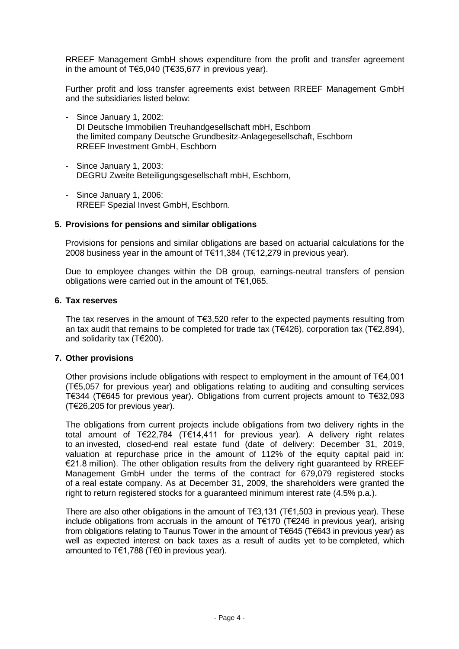RREEF Management GmbH shows expenditure from the profit and transfer agreement in the amount of T€5,040 (T€35,677 in previous year).

Further profit and loss transfer agreements exist between RREEF Management GmbH and the subsidiaries listed below:

- Since January 1, 2002: DI Deutsche Immobilien Treuhandgesellschaft mbH, Eschborn the limited company Deutsche Grundbesitz-Anlagegesellschaft, Eschborn RREEF Investment GmbH, Eschborn
- Since January 1, 2003: DEGRU Zweite Beteiligungsgesellschaft mbH, Eschborn,
- Since January 1, 2006: RREEF Spezial Invest GmbH, Eschborn.

### **5. Provisions for pensions and similar obligations**

Provisions for pensions and similar obligations are based on actuarial calculations for the 2008 business year in the amount of T€11,384 (T€12,279 in previous year).

Due to employee changes within the DB group, earnings-neutral transfers of pension obligations were carried out in the amount of T€1,065.

#### **6. Tax reserves**

The tax reserves in the amount of T€3,520 refer to the expected payments resulting from an tax audit that remains to be completed for trade tax (T€426), corporation tax (T€2,894), and solidarity tax (T€200).

### **7. Other provisions**

Other provisions include obligations with respect to employment in the amount of  $T \in 4,001$ (T€5,057 for previous year) and obligations relating to auditing and consulting services T€344 (T€645 for previous year). Obligations from current projects amount to T€32,093 (T€26,205 for previous year).

The obligations from current projects include obligations from two delivery rights in the total amount of T€22,784 (T€14,411 for previous year). A delivery right relates to an invested, closed-end real estate fund (date of delivery: December 31, 2019, valuation at repurchase price in the amount of 112% of the equity capital paid in: €21.8 million). The other obligation results from the delivery right guaranteed by RREEF Management GmbH under the terms of the contract for 679,079 registered stocks of a real estate company. As at December 31, 2009, the shareholders were granted the right to return registered stocks for a guaranteed minimum interest rate (4.5% p.a.).

There are also other obligations in the amount of  $T \in 3,131$  (T $\in 1.503$  in previous year). These include obligations from accruals in the amount of T€170 (T€246 in previous year), arising from obligations relating to Taunus Tower in the amount of T€645 (T€643 in previous year) as well as expected interest on back taxes as a result of audits yet to be completed, which amounted to T€1,788 (T€0 in previous year).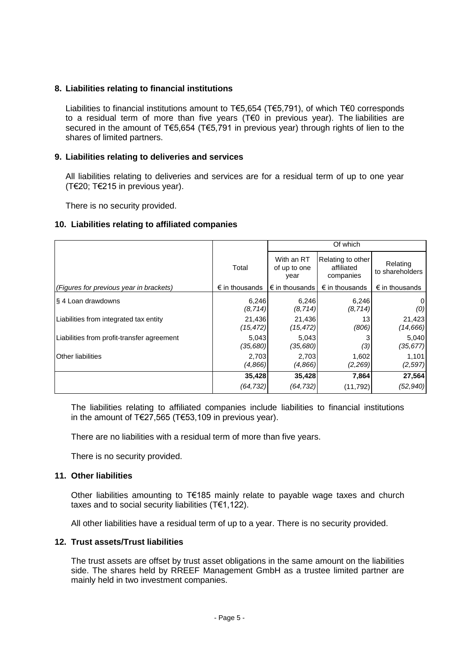# **8. Liabilities relating to financial institutions**

Liabilities to financial institutions amount to T€5,654 (T€5,791), of which T€0 corresponds to a residual term of more than five years (T€0 in previous year). The liabilities are secured in the amount of T€5,654 (T€5,791 in previous year) through rights of lien to the shares of limited partners.

# **9. Liabilities relating to deliveries and services**

All liabilities relating to deliveries and services are for a residual term of up to one year (T€20; T€215 in previous year).

There is no security provided.

# **10. Liabilities relating to affiliated companies**

|                                            |                         | Of which                           |                                              |                             |  |
|--------------------------------------------|-------------------------|------------------------------------|----------------------------------------------|-----------------------------|--|
|                                            | Total                   | With an RT<br>of up to one<br>year | Relating to other<br>affiliated<br>companies | Relating<br>to shareholders |  |
| (Figures for previous year in brackets)    | $\epsilon$ in thousands | $\epsilon$ in thousands            | $\epsilon$ in thousands                      | $\epsilon$ in thousands     |  |
| § 4 Loan drawdowns                         | 6,246<br>(8, 714)       | 6,246<br>(8, 714)                  | 6,246<br>(8, 714)                            | 0<br>(0)                    |  |
| Liabilities from integrated tax entity     | 21,436<br>(15,472)      | 21,436<br>(15, 472)                | 13<br>(806)                                  | 21,423<br>(14, 666)         |  |
| Liabilities from profit-transfer agreement | 5,043<br>(35, 680)      | 5,043<br>(35,680)                  | (3)                                          | 5,040<br>(35, 677)          |  |
| Other liabilities                          | 2,703<br>(4,866)        | 2,703<br>(4,866)                   | 1,602<br>(2,269)                             | 1,101<br>(2, 597)           |  |
|                                            | 35,428                  | 35,428                             | 7,864                                        | 27,564                      |  |
|                                            | (64, 732)               | (64, 732)                          | (11, 792)                                    | (52, 940)                   |  |

The liabilities relating to affiliated companies include liabilities to financial institutions in the amount of T€27,565 (T€53,109 in previous year).

There are no liabilities with a residual term of more than five years.

There is no security provided.

# **11. Other liabilities**

Other liabilities amounting to T€185 mainly relate to payable wage taxes and church taxes and to social security liabilities (T€1,122).

All other liabilities have a residual term of up to a year. There is no security provided.

#### **12. Trust assets/Trust liabilities**

The trust assets are offset by trust asset obligations in the same amount on the liabilities side. The shares held by RREEF Management GmbH as a trustee limited partner are mainly held in two investment companies.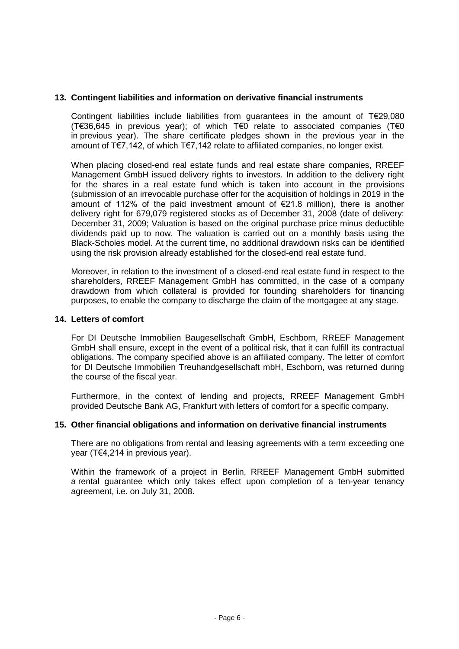# **13. Contingent liabilities and information on derivative financial instruments**

Contingent liabilities include liabilities from guarantees in the amount of T€29,080 (T€36,645 in previous year); of which T€0 relate to associated companies (T€0 in previous year). The share certificate pledges shown in the previous year in the amount of T€7,142, of which T€7,142 relate to affiliated companies, no longer exist.

When placing closed-end real estate funds and real estate share companies, RREEF Management GmbH issued delivery rights to investors. In addition to the delivery right for the shares in a real estate fund which is taken into account in the provisions (submission of an irrevocable purchase offer for the acquisition of holdings in 2019 in the amount of 112% of the paid investment amount of  $E$ 21.8 million), there is another delivery right for 679,079 registered stocks as of December 31, 2008 (date of delivery: December 31, 2009; Valuation is based on the original purchase price minus deductible dividends paid up to now. The valuation is carried out on a monthly basis using the Black-Scholes model. At the current time, no additional drawdown risks can be identified using the risk provision already established for the closed-end real estate fund.

Moreover, in relation to the investment of a closed-end real estate fund in respect to the shareholders, RREEF Management GmbH has committed, in the case of a company drawdown from which collateral is provided for founding shareholders for financing purposes, to enable the company to discharge the claim of the mortgagee at any stage.

#### **14. Letters of comfort**

For DI Deutsche Immobilien Baugesellschaft GmbH, Eschborn, RREEF Management GmbH shall ensure, except in the event of a political risk, that it can fulfill its contractual obligations. The company specified above is an affiliated company. The letter of comfort for DI Deutsche Immobilien Treuhandgesellschaft mbH, Eschborn, was returned during the course of the fiscal year.

Furthermore, in the context of lending and projects, RREEF Management GmbH provided Deutsche Bank AG, Frankfurt with letters of comfort for a specific company.

#### **15. Other financial obligations and information on derivative financial instruments**

There are no obligations from rental and leasing agreements with a term exceeding one year (T€4,214 in previous year).

Within the framework of a project in Berlin, RREEF Management GmbH submitted a rental guarantee which only takes effect upon completion of a ten-year tenancy agreement, i.e. on July 31, 2008.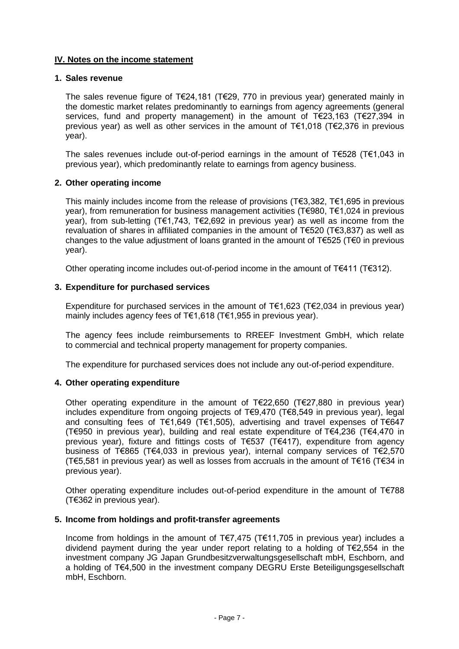# **IV. Notes on the income statement**

# **1. Sales revenue**

The sales revenue figure of T€24,181 (T€29, 770 in previous year) generated mainly in the domestic market relates predominantly to earnings from agency agreements (general services, fund and property management) in the amount of T€23,163 (T€27,394 in previous year) as well as other services in the amount of T€1,018 (T€2,376 in previous year).

The sales revenues include out-of-period earnings in the amount of T€528 (T€1,043 in previous year), which predominantly relate to earnings from agency business.

### **2. Other operating income**

This mainly includes income from the release of provisions (T€3,382, T€1,695 in previous year), from remuneration for business management activities (T€980, T€1,024 in previous year), from sub-letting (T€1,743, T€2,692 in previous year) as well as income from the revaluation of shares in affiliated companies in the amount of T€520 (T€3,837) as well as changes to the value adjustment of loans granted in the amount of T€525 (T€0 in previous year).

Other operating income includes out-of-period income in the amount of T€411 (T€312).

### **3. Expenditure for purchased services**

Expenditure for purchased services in the amount of  $T \in 1,623$  (T $\in 2,034$  in previous year) mainly includes agency fees of T€1,618 (T€1,955 in previous year).

The agency fees include reimbursements to RREEF Investment GmbH, which relate to commercial and technical property management for property companies.

The expenditure for purchased services does not include any out-of-period expenditure.

#### **4. Other operating expenditure**

Other operating expenditure in the amount of T€22,650 (T€27,880 in previous year) includes expenditure from ongoing projects of T€9,470 (T€8,549 in previous year), legal and consulting fees of T€1,649 (T€1,505), advertising and travel expenses of T€647 (T€950 in previous year), building and real estate expenditure of T€4,236 (T€4,470 in previous year), fixture and fittings costs of T€537 (T€417), expenditure from agency business of T€865 (T€4,033 in previous year), internal company services of T€2,570 (T€5,581 in previous year) as well as losses from accruals in the amount of T€16 (T€34 in previous year).

Other operating expenditure includes out-of-period expenditure in the amount of T€788 (T€362 in previous year).

#### **5. Income from holdings and profit-transfer agreements**

Income from holdings in the amount of T€7,475 (T€11,705 in previous year) includes a dividend payment during the year under report relating to a holding of T€2,554 in the investment company JG Japan Grundbesitzverwaltungsgesellschaft mbH, Eschborn, and a holding of T€4,500 in the investment company DEGRU Erste Beteiligungsgesellschaft mbH, Eschborn.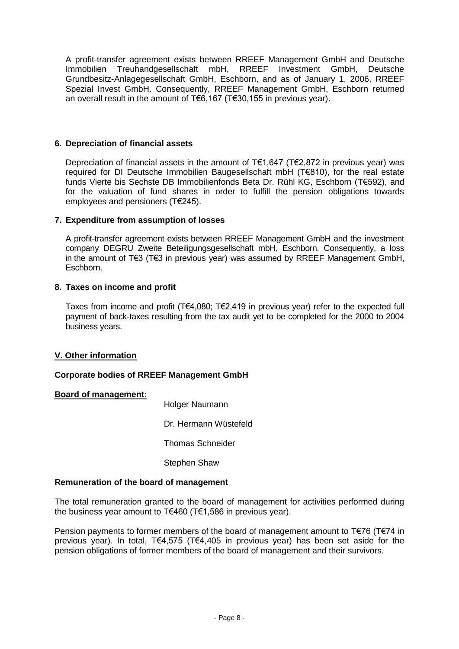A profit-transfer agreement exists between RREEF Management GmbH and Deutsche Immobilien Treuhandgesellschaft mbH, RREEF Investment GmbH, Deutsche Grundbesitz-Anlagegesellschaft GmbH, Eschborn, and as of January 1, 2006, RREEF Spezial Invest GmbH. Consequently, RREEF Management GmbH, Eschborn returned an overall result in the amount of T€6,167 (T€30,155 in previous year).

# **6. Depreciation of financial assets**

Depreciation of financial assets in the amount of T $\epsilon$ 1,647 (T $\epsilon$ 2,872 in previous year) was required for DI Deutsche Immobilien Baugesellschaft mbH (T€810), for the real estate funds Vierte bis Sechste DB Immobilienfonds Beta Dr. Rühl KG, Eschborn (T€592), and for the valuation of fund shares in order to fulfill the pension obligations towards employees and pensioners (T€245).

# **7. Expenditure from assumption of losses**

A profit-transfer agreement exists between RREEF Management GmbH and the investment company DEGRU Zweite Beteiligungsgesellschaft mbH, Eschborn. Consequently, a loss in the amount of T€3 (T€3 in previous year) was assumed by RREEF Management GmbH, Eschborn.

# **8. Taxes on income and profit**

Taxes from income and profit (T€4,080; T€2,419 in previous year) refer to the expected full payment of back-taxes resulting from the tax audit yet to be completed for the 2000 to 2004 business years.

# **V. Other information**

# **Corporate bodies of RREEF Management GmbH**

# **Board of management:**

Holger Naumann

Dr. Hermann Wüstefeld

Thomas Schneider

Stephen Shaw

# **Remuneration of the board of management**

The total remuneration granted to the board of management for activities performed during the business year amount to T€460 (T€1,586 in previous year).

Pension payments to former members of the board of management amount to T $\epsilon$ 76 (T $\epsilon$ 74 in previous year). In total, T€4,575 (T€4,405 in previous year) has been set aside for the pension obligations of former members of the board of management and their survivors.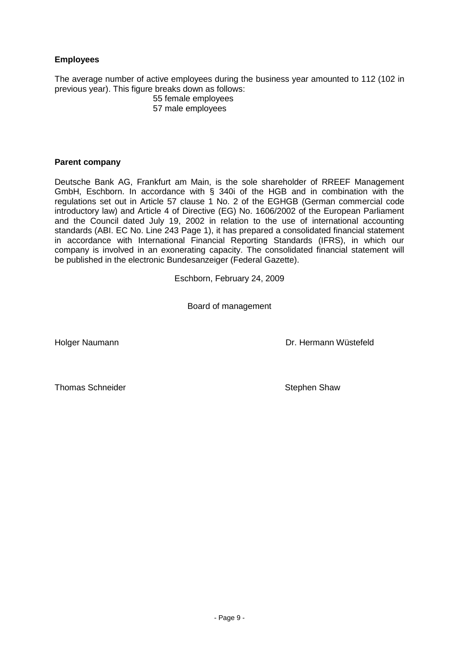# **Employees**

The average number of active employees during the business year amounted to 112 (102 in previous year). This figure breaks down as follows:

55 female employees 57 male employees

# **Parent company**

Deutsche Bank AG, Frankfurt am Main, is the sole shareholder of RREEF Management GmbH, Eschborn. In accordance with § 340i of the HGB and in combination with the regulations set out in Article 57 clause 1 No. 2 of the EGHGB (German commercial code introductory law) and Article 4 of Directive (EG) No. 1606/2002 of the European Parliament and the Council dated July 19, 2002 in relation to the use of international accounting standards (ABI. EC No. Line 243 Page 1), it has prepared a consolidated financial statement in accordance with International Financial Reporting Standards (IFRS), in which our company is involved in an exonerating capacity. The consolidated financial statement will be published in the electronic Bundesanzeiger (Federal Gazette).

Eschborn, February 24, 2009

Board of management

Holger Naumann **Dr. Hermann Wüstefeld** 

Thomas Schneider Stephen Shaw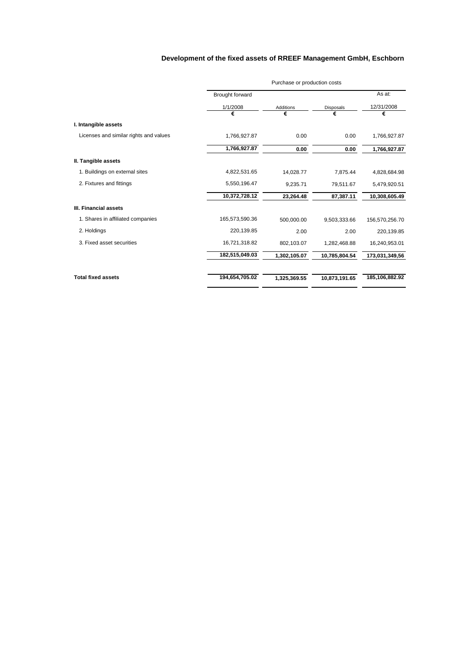# **Development of the fixed assets of RREEF Management GmbH, Eschborn**

| Purchase or production costs |                  |               |                |  |
|------------------------------|------------------|---------------|----------------|--|
| Brought forward              |                  |               | As at:         |  |
| 1/1/2008                     | <b>Additions</b> | Disposals     | 12/31/2008     |  |
| €                            | €                | €             | €              |  |
|                              |                  |               |                |  |
| 1,766,927.87                 | 0.00             | 0.00          | 1,766,927.87   |  |
| 1,766,927.87                 | 0.00             | 0.00          | 1,766,927.87   |  |
|                              |                  |               |                |  |
| 4,822,531.65                 | 14,028.77        | 7,875.44      | 4,828,684.98   |  |
| 5,550,196.47                 | 9,235.71         | 79,511.67     | 5,479,920.51   |  |
| 10,372,728.12                | 23,264.48        | 87,387.11     | 10,308,605.49  |  |
|                              |                  |               |                |  |
| 165,573,590.36               | 500,000.00       | 9,503,333.66  | 156,570,256.70 |  |
| 220,139.85                   | 2.00             | 2.00          | 220,139.85     |  |
| 16,721,318.82                | 802,103.07       | 1,282,468.88  | 16,240,953.01  |  |
| 182,515,049.03               | 1,302,105.07     | 10,785,804.54 | 173,031,349,56 |  |
|                              |                  |               | 185,106,882.92 |  |
|                              | 194,654,705.02   | 1,325,369.55  | 10,873,191.65  |  |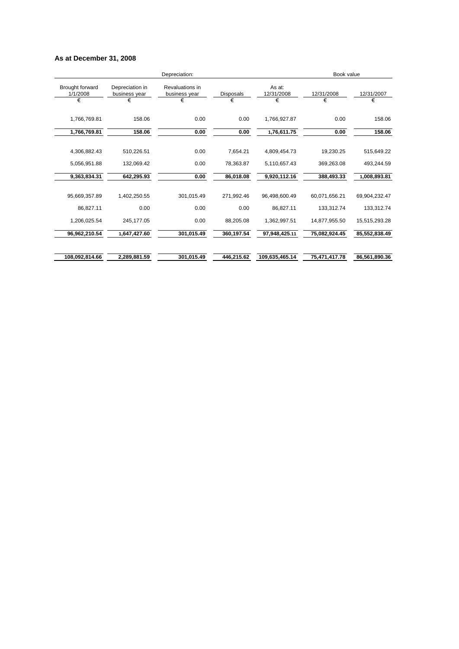#### **As at December 31, 2008**

|                                    |                                  | Book value<br>Depreciation:      |                  |                      |               |               |
|------------------------------------|----------------------------------|----------------------------------|------------------|----------------------|---------------|---------------|
| <b>Brought forward</b><br>1/1/2008 | Depreciation in<br>business year | Revaluations in<br>business year | <b>Disposals</b> | As at:<br>12/31/2008 | 12/31/2008    | 12/31/2007    |
| €                                  | €                                | €                                | €                | €                    | €             | €             |
| 1,766,769.81                       | 158.06                           | 0.00                             | 0.00             | 1,766,927.87         | 0.00          | 158.06        |
| 1,766,769.81                       | 158.06                           | 0.00                             | 0.00             | 1,76,611.75          | 0.00          | 158.06        |
| 4.306.882.43                       | 510.226.51                       | 0.00                             | 7.654.21         | 4,809,454.73         | 19.230.25     | 515.649.22    |
| 5,056,951.88                       | 132,069.42                       | 0.00                             | 78,363.87        | 5,110,657.43         | 369,263.08    | 493,244.59    |
|                                    |                                  |                                  |                  |                      |               |               |
| 9,363,834.31                       | 642,295.93                       | 0.00                             | 86,018.08        | 9,920,112.16         | 388,493.33    | 1,008,893.81  |
| 95,669,357.89                      | 1,402,250.55                     | 301,015.49                       | 271,992.46       | 96,498,600.49        | 60,071,656.21 | 69,904,232.47 |
|                                    |                                  |                                  |                  |                      |               |               |
| 86.827.11                          | 0.00                             | 0.00                             | 0.00             | 86.827.11            | 133.312.74    | 133,312.74    |
| 1,206,025.54                       | 245,177.05                       | 0.00                             | 88,205.08        | 1,362,997.51         | 14,877,955.50 | 15,515,293.28 |
| 96,962,210.54                      | 1,647,427.60                     | 301,015.49                       | 360,197.54       | 97,948,425.11        | 75,082,924.45 | 85,552,838.49 |
| 108,092,814.66                     | 2,289,881.59                     | 301,015.49                       | 446,215.62       | 109,635,465.14       | 75,471,417.78 | 86,561,890.36 |
|                                    |                                  |                                  |                  |                      |               |               |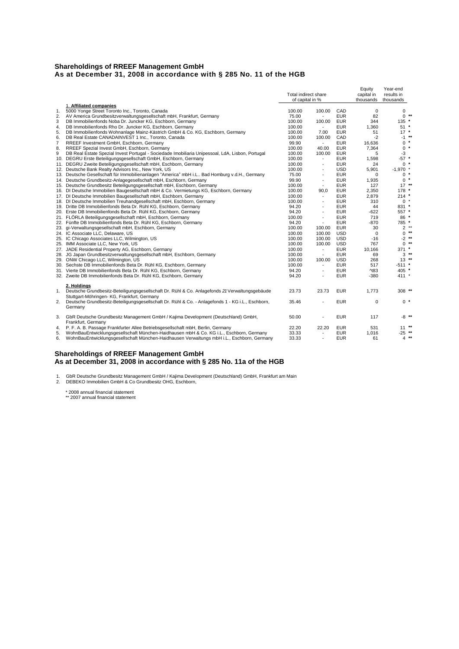#### **Shareholdings of RREEF Management GmbH As at December 31, 2008 in accordance with § 285 No. 11 of the HGB**

|    |                                                                                                   |                      |                          |            | Equity                     | Year-end     |
|----|---------------------------------------------------------------------------------------------------|----------------------|--------------------------|------------|----------------------------|--------------|
|    |                                                                                                   | Total indirect share |                          | capital in | results in                 |              |
|    |                                                                                                   | of capital in %      |                          |            | thousands                  | thousands    |
|    | 1. Affiliated companies                                                                           |                      |                          |            |                            |              |
| 1. | 5000 Yonge Street Toronto Inc., Toronto, Canada                                                   | 100.00               | 100.00                   | CAD        | $\mathbf 0$                | 0            |
| 2. | AV America Grundbesitzverwaltungsgesellschaft mbH, Frankfurt, Germany                             | 75.00                | $\blacksquare$           | <b>EUR</b> | 82                         | $0$ **       |
| 3  | DB Immobilienfonds Noba Dr. Juncker KG, Eschborn, Germany                                         | 100.00               | 100.00                   | <b>EUR</b> | 344                        | 135 *        |
| 4. | DB Immobilienfonds Rho Dr. Juncker KG, Eschborn, Germany                                          | 100.00               | $\sim$                   | <b>EUR</b> | 1,360                      | $51 *$       |
| 5. | DB Immobilienfonds Wohnanlage Mainz-Kästrich GmbH & Co. KG, Eschborn, Germany                     | 100.00               | 7.00                     | <b>EUR</b> | 51                         | $17 *$       |
| 6. | DB Real Estate CANADAINVEST 1 Inc., Toronto, Canada                                               | 100.00               | 100.00                   | CAD        | $-2$                       | $-1$ **      |
| 7  | RREEF Investment GmbH, Eschborn, Germany                                                          | 99.90                | $\overline{\phantom{a}}$ | <b>EUR</b> | 16,636                     | $0 *$        |
| 8. | RREEF Spezial Invest GmbH, Eschborn, Germany                                                      | 100.00               | 40.00                    | <b>EUR</b> | 7,364                      | $0 *$        |
| 9  | DB Real Estate Spezial Invest Portugal - Sociedade Imobiliaria Unipessoal, LdA, Lisbon, Portugal  | 100.00               | 100.00                   | <b>EUR</b> | 5                          | $-3$         |
|    | 10. DEGRU Erste Beteiligungsgesellschaft GmbH, Eschborn, Germany                                  | 100.00               | $\sim$                   | <b>EUR</b> | 1,598                      | $-57$ *      |
|    |                                                                                                   |                      |                          |            |                            | $0 *$        |
|    | 11. DEGRU Zweite Beteiligungsgesellschaft mbH, Eschborn, Germany                                  | 100.00               | $\overline{\phantom{a}}$ | <b>EUR</b> | 24                         |              |
|    | 12. Deutsche Bank Realty Advisors Inc., New York, US                                              | 100.00               | $\overline{\phantom{a}}$ | <b>USD</b> | 5,901                      | $-1,970$ *   |
|    | 13. Deutsche Gesellschaft für Immobilienanlagen "America" mbH i.L Bad Homburg v.d.H., Germany     | 75.00                | $\overline{\phantom{a}}$ | <b>EUR</b> | $\Omega$                   | $0 *$        |
|    | 14. Deutsche Grundbesitz-Anlagegesellschaft mbH, Eschborn, Germany                                | 99.90                | $\overline{\phantom{a}}$ | <b>EUR</b> | 1,935                      | $0 *$        |
|    | 15. Deutsche Grundbesitz Beteiligungsgesellschaft mbH, Eschborn, Germany                          | 100.00               | $\overline{\phantom{a}}$ | <b>EUR</b> | 127                        | $17***$      |
|    | 16. DI Deutsche Immobilien Baugesellschaft mbH & Co. Vermietungs KG, Eschborn, Germany            | 100.00               | 90,0                     | <b>EUR</b> | 2,350                      | 178 *        |
|    | 17. DI Deutsche Immobilien Baugesellschaft mbH, Eschborn, Germany                                 | 100.00               | $\overline{\phantom{a}}$ | <b>EUR</b> | 2,879                      | $214$ *      |
|    | 18. DI Deutsche Immobilien Treuhandgesellschaft mbH, Eschborn, Germany                            | 100.00               | $\sim$                   | <b>EUR</b> | 310                        | $0 *$        |
|    | 19. Dritte DB Immobilienfonds Beta Dr. Rühl KG, Eschborn, Germany                                 | 94.20                | $\overline{\phantom{a}}$ | <b>EUR</b> | 44                         | 831 *        |
|    | 20. Erste DB Immobilienfonds Beta Dr. Rühl KG, Eschborn, Germany                                  | 94.20                | $\overline{\phantom{a}}$ | <b>EUR</b> | $-622$                     | 557 *        |
|    | 21. FLÖRLA Beteiligungsgesellschaft mbH, Eschborn, Germany                                        | 100.00               | $\overline{\phantom{a}}$ | <b>EUR</b> | 719                        | 86 *         |
|    | 22. Fünfte DB Immobilienfonds Beta Dr. Rühl KG, Eschborn, Germany                                 | 94.20                | $\overline{\phantom{a}}$ | <b>EUR</b> | -870                       | 785 *        |
|    | 23. gi-Verwaltungsgesellschaft mbH, Eschborn, Germany                                             | 100.00               | 100.00                   | <b>EUR</b> | 30                         | $2^{**}$     |
|    | 24. IC Associate LLC, Delaware, US                                                                | 100.00               | 100.00                   | <b>USD</b> | $\mathbf 0$                | $**$<br>0    |
|    | 25. IC Chicago Associates LLC, Wilmington, US                                                     | 100.00               | 100.00                   | <b>USD</b> | $-16$                      | $**$<br>$-2$ |
|    | 25. IMM Associate LLC, New York, US                                                               | 100.00               | 100.00                   | <b>USD</b> | 767                        | $0$ **       |
|    | 27. JADE Residential Property AG, Eschborn, Germany                                               | 100.00               | $\overline{\phantom{a}}$ | <b>EUR</b> | 10.166                     | 371 *        |
|    | 28. JG Japan Grundbesitzverwaltungsgesellschaft mbH, Eschborn, Germany                            | 100.00               | $\overline{\phantom{a}}$ | <b>EUR</b> | 69                         | $3$ **       |
|    | 29. ONW Chicago LLC, Wilmington, US                                                               | 100.00               | 100.00                   | <b>USD</b> | 268                        | $13$ **      |
|    | 30. Sechste DB Immobilienfonds Beta Dr. Rühl KG, Eschborn, Germany                                | 100.00               | $\overline{\phantom{a}}$ | <b>EUR</b> | 517                        | $-511$ *     |
|    | 31. Vierte DB Immobilienfonds Beta Dr. Rühl KG, Eschborn, Germany                                 | 94.20                | $\overline{\phantom{a}}$ | <b>EUR</b> | $^{\prime}$ <sub>183</sub> | $405$ *      |
|    | 32. Zweite DB Immobilienfonds Beta Dr. Rühl KG, Eschborn, Germany                                 | 94.20                | ÷                        | <b>EUR</b> | $-380$                     | 411 *        |
|    |                                                                                                   |                      |                          |            |                            |              |
|    | 2. Holdings                                                                                       |                      |                          |            |                            |              |
|    | 1. Deutsche Grundbesitz-Beteiligungsgesellschaft Dr. Rühl & Co. Anlagefonds 21 Verwaltungsgebäude | 23.73                | 23.73                    | <b>EUR</b> | 1,773                      | 308 **       |
|    | Stuttgart-Möhringen- KG, Frankfurt, Germany                                                       |                      |                          |            |                            |              |
| 2. | Deutsche Grundbesitz-Beteiligungsgesellschaft Dr. Rühl & Co. - Anlagefonds 1 - KG i.L., Eschborn, | 35.46                |                          | <b>EUR</b> | $\mathbf 0$                | $0*$         |
|    | Germany                                                                                           |                      |                          |            |                            |              |
|    |                                                                                                   |                      |                          |            |                            |              |
| 3. | GbR Deutsche Grundbesitz Management GmbH / Kajima Development (Deutschland) GmbH,                 | 50.00                |                          | <b>EUR</b> | 117                        | $-8$ **      |
|    | Frankfurt, Germany                                                                                |                      |                          |            |                            |              |
|    | 4. P. F. A. B. Passage Frankfurter Allee Betriebsgesellschaft mbH, Berlin, Germany                | 22.20                | 22.20                    | <b>EUR</b> | 531                        | $11***$      |
| 5. | WohnBauEntwicklungsgesellschaft München-Haidhausen mbH & Co. KG i.L., Eschborn, Germany           | 33.33                | ÷,                       | <b>EUR</b> | 1,016                      | $-25$ **     |
| 6. | WohnBauEntwicklungsgesellschaft München-Haidhausen Verwaltungs mbH i.L., Eschborn, Germany        | 33.33                | $\overline{\phantom{a}}$ | <b>EUR</b> | 61                         | $4***$       |
|    |                                                                                                   |                      |                          |            |                            |              |

#### **Shareholdings of RREEF Management GmbH As at December 31, 2008 in accordance with § 285 No. 11a of the HGB**

1. GbR Deutsche Grundbesitz Management GmbH / Kajima Development (Deutschland) GmbH, Frankfurt am Main 2. DEBEKO Immobilien GmbH & Co Grundbesitz OHG, Eschborn,

\* 2008 annual financial statement \*\* 2007 annual financial statement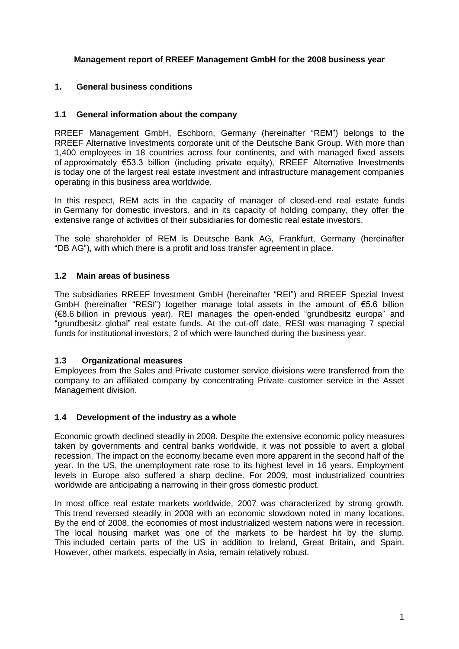# **Management report of RREEF Management GmbH for the 2008 business year**

# **1. General business conditions**

# **1.1 General information about the company**

RREEF Management GmbH, Eschborn, Germany (hereinafter "REM") belongs to the RREEF Alternative Investments corporate unit of the Deutsche Bank Group. With more than 1,400 employees in 18 countries across four continents, and with managed fixed assets of approximately €53.3 billion (including private equity), RREEF Alternative Investments is today one of the largest real estate investment and infrastructure management companies operating in this business area worldwide.

In this respect, REM acts in the capacity of manager of closed-end real estate funds in Germany for domestic investors, and in its capacity of holding company, they offer the extensive range of activities of their subsidiaries for domestic real estate investors.

The sole shareholder of REM is Deutsche Bank AG, Frankfurt, Germany (hereinafter "DB AG"), with which there is a profit and loss transfer agreement in place.

## **1.2 Main areas of business**

The subsidiaries RREEF Investment GmbH (hereinafter "REI") and RREEF Spezial Invest GmbH (hereinafter "RESI") together manage total assets in the amount of €5.6 billion (€8.6 billion in previous year). REI manages the open-ended "grundbesitz europa" and "grundbesitz global" real estate funds. At the cut-off date, RESI was managing 7 special funds for institutional investors, 2 of which were launched during the business year.

# **1.3 Organizational measures**

Employees from the Sales and Private customer service divisions were transferred from the company to an affiliated company by concentrating Private customer service in the Asset Management division.

# **1.4 Development of the industry as a whole**

Economic growth declined steadily in 2008. Despite the extensive economic policy measures taken by governments and central banks worldwide, it was not possible to avert a global recession. The impact on the economy became even more apparent in the second half of the year. In the US, the unemployment rate rose to its highest level in 16 years. Employment levels in Europe also suffered a sharp decline. For 2009, most industrialized countries worldwide are anticipating a narrowing in their gross domestic product.

In most office real estate markets worldwide, 2007 was characterized by strong growth. This trend reversed steadily in 2008 with an economic slowdown noted in many locations. By the end of 2008, the economies of most industrialized western nations were in recession. The local housing market was one of the markets to be hardest hit by the slump. This included certain parts of the US in addition to Ireland, Great Britain, and Spain. However, other markets, especially in Asia, remain relatively robust.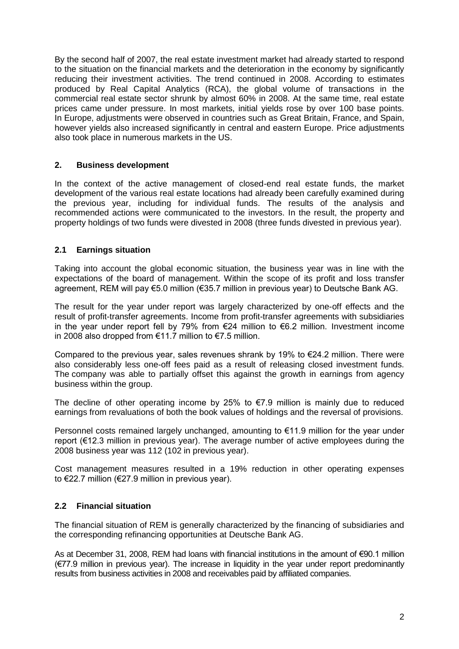By the second half of 2007, the real estate investment market had already started to respond to the situation on the financial markets and the deterioration in the economy by significantly reducing their investment activities. The trend continued in 2008. According to estimates produced by Real Capital Analytics (RCA), the global volume of transactions in the commercial real estate sector shrunk by almost 60% in 2008. At the same time, real estate prices came under pressure. In most markets, initial yields rose by over 100 base points. In Europe, adjustments were observed in countries such as Great Britain, France, and Spain, however yields also increased significantly in central and eastern Europe. Price adjustments also took place in numerous markets in the US.

# **2. Business development**

In the context of the active management of closed-end real estate funds, the market development of the various real estate locations had already been carefully examined during the previous year, including for individual funds. The results of the analysis and recommended actions were communicated to the investors. In the result, the property and property holdings of two funds were divested in 2008 (three funds divested in previous year).

# **2.1 Earnings situation**

Taking into account the global economic situation, the business year was in line with the expectations of the board of management. Within the scope of its profit and loss transfer agreement, REM will pay €5.0 million (€35.7 million in previous year) to Deutsche Bank AG.

The result for the year under report was largely characterized by one-off effects and the result of profit-transfer agreements. Income from profit-transfer agreements with subsidiaries in the year under report fell by 79% from €24 million to €6.2 million. Investment income in 2008 also dropped from €11.7 million to €7.5 million.

Compared to the previous year, sales revenues shrank by 19% to  $\epsilon$ 24.2 million. There were also considerably less one-off fees paid as a result of releasing closed investment funds. The company was able to partially offset this against the growth in earnings from agency business within the group.

The decline of other operating income by 25% to  $E$ 7.9 million is mainly due to reduced earnings from revaluations of both the book values of holdings and the reversal of provisions.

Personnel costs remained largely unchanged, amounting to €11.9 million for the year under report (€12.3 million in previous year). The average number of active employees during the 2008 business year was 112 (102 in previous year).

Cost management measures resulted in a 19% reduction in other operating expenses to €22.7 million (€27.9 million in previous year).

# **2.2 Financial situation**

The financial situation of REM is generally characterized by the financing of subsidiaries and the corresponding refinancing opportunities at Deutsche Bank AG.

As at December 31, 2008, REM had loans with financial institutions in the amount of €90.1 million (€77.9 million in previous year). The increase in liquidity in the year under report predominantly results from business activities in 2008 and receivables paid by affiliated companies.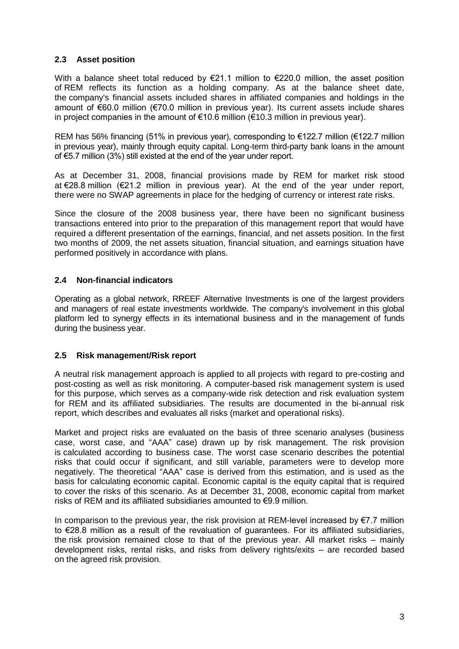# **2.3 Asset position**

With a balance sheet total reduced by  $\epsilon$ 21.1 million to  $\epsilon$ 220.0 million, the asset position of REM reflects its function as a holding company. As at the balance sheet date, the company's financial assets included shares in affiliated companies and holdings in the amount of €60.0 million (€70.0 million in previous year). Its current assets include shares in project companies in the amount of  $\epsilon$ 10.6 million  $(\epsilon$ 10.3 million in previous year).

REM has 56% financing (51% in previous year), corresponding to €122.7 million (€122.7 million in previous year), mainly through equity capital. Long-term third-party bank loans in the amount of €5.7 million (3%) still existed at the end of the year under report.

As at December 31, 2008, financial provisions made by REM for market risk stood at €28.8 million (€21.2 million in previous year). At the end of the year under report, there were no SWAP agreements in place for the hedging of currency or interest rate risks.

Since the closure of the 2008 business year, there have been no significant business transactions entered into prior to the preparation of this management report that would have required a different presentation of the earnings, financial, and net assets position. In the first two months of 2009, the net assets situation, financial situation, and earnings situation have performed positively in accordance with plans.

# **2.4 Non-financial indicators**

Operating as a global network, RREEF Alternative Investments is one of the largest providers and managers of real estate investments worldwide*.* The company's involvement in this global platform led to synergy effects in its international business and in the management of funds during the business year.

# **2.5 Risk management/Risk report**

A neutral risk management approach is applied to all projects with regard to pre-costing and post-costing as well as risk monitoring. A computer-based risk management system is used for this purpose, which serves as a company-wide risk detection and risk evaluation system for REM and its affiliated subsidiaries. The results are documented in the bi-annual risk report, which describes and evaluates all risks (market and operational risks).

Market and project risks are evaluated on the basis of three scenario analyses (business case, worst case, and "AAA" case) drawn up by risk management. The risk provision is calculated according to business case. The worst case scenario describes the potential risks that could occur if significant, and still variable, parameters were to develop more negatively. The theoretical "AAA" case is derived from this estimation, and is used as the basis for calculating economic capital. Economic capital is the equity capital that is required to cover the risks of this scenario. As at December 31, 2008, economic capital from market risks of REM and its affiliated subsidiaries amounted to €9.9 million.

In comparison to the previous year, the risk provision at REM-level increased by  $E$ 7.7 million to €28.8 million as a result of the revaluation of guarantees. For its affiliated subsidiaries, the risk provision remained close to that of the previous year. All market risks – mainly development risks, rental risks, and risks from delivery rights/exits – are recorded based on the agreed risk provision.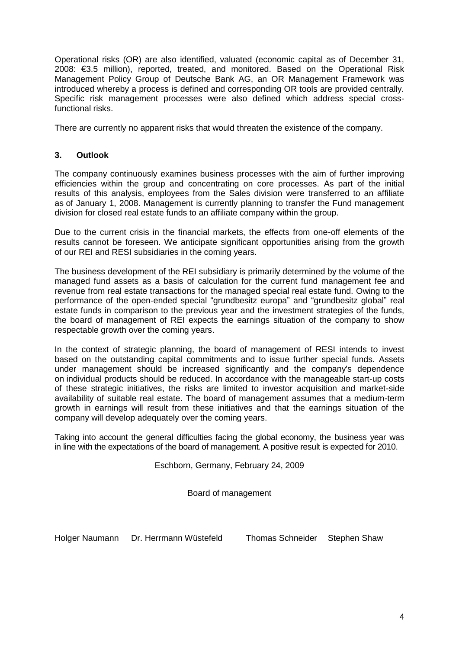Operational risks (OR) are also identified, valuated (economic capital as of December 31, 2008: €3.5 million), reported, treated, and monitored. Based on the Operational Risk Management Policy Group of Deutsche Bank AG, an OR Management Framework was introduced whereby a process is defined and corresponding OR tools are provided centrally. Specific risk management processes were also defined which address special crossfunctional risks.

There are currently no apparent risks that would threaten the existence of the company.

# **3. Outlook**

The company continuously examines business processes with the aim of further improving efficiencies within the group and concentrating on core processes. As part of the initial results of this analysis, employees from the Sales division were transferred to an affiliate as of January 1, 2008. Management is currently planning to transfer the Fund management division for closed real estate funds to an affiliate company within the group.

Due to the current crisis in the financial markets, the effects from one-off elements of the results cannot be foreseen. We anticipate significant opportunities arising from the growth of our REI and RESI subsidiaries in the coming years.

The business development of the REI subsidiary is primarily determined by the volume of the managed fund assets as a basis of calculation for the current fund management fee and revenue from real estate transactions for the managed special real estate fund. Owing to the performance of the open-ended special "grundbesitz europa" and "grundbesitz global" real estate funds in comparison to the previous year and the investment strategies of the funds, the board of management of REI expects the earnings situation of the company to show respectable growth over the coming years.

In the context of strategic planning, the board of management of RESI intends to invest based on the outstanding capital commitments and to issue further special funds. Assets under management should be increased significantly and the company's dependence on individual products should be reduced. In accordance with the manageable start-up costs of these strategic initiatives, the risks are limited to investor acquisition and market-side availability of suitable real estate. The board of management assumes that a medium-term growth in earnings will result from these initiatives and that the earnings situation of the company will develop adequately over the coming years.

Taking into account the general difficulties facing the global economy, the business year was in line with the expectations of the board of management. A positive result is expected for 2010.

Eschborn, Germany, February 24, 2009

Board of management

Holger Naumann Dr. Herrmann Wüstefeld Thomas Schneider Stephen Shaw